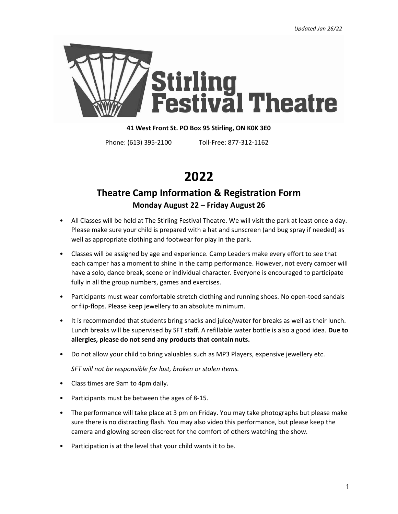

### **41 West Front St. PO Box 95 Stirling, ON K0K 3E0**

Phone: (613) 395-2100 Toll-Free: 877-312-1162

# **2022**

# **Theatre Camp Information & Registration Form Monday August 22 – Friday August 26**

- All Classes will be held at The Stirling Festival Theatre. We will visit the park at least once a day. Please make sure your child is prepared with a hat and sunscreen (and bug spray if needed) as well as appropriate clothing and footwear for play in the park.
- Classes will be assigned by age and experience. Camp Leaders make every effort to see that each camper has a moment to shine in the camp performance. However, not every camper will have a solo, dance break, scene or individual character. Everyone is encouraged to participate fully in all the group numbers, games and exercises.
- Participants must wear comfortable stretch clothing and running shoes. No open-toed sandals or flip-flops. Please keep jewellery to an absolute minimum.
- It is recommended that students bring snacks and juice/water for breaks as well as their lunch. Lunch breaks will be supervised by SFT staff. A refillable water bottle is also a good idea. **Due to allergies, please do not send any products that contain nuts.**
- Do not allow your child to bring valuables such as MP3 Players, expensive jewellery etc.

*SFT will not be responsible for lost, broken or stolen items.*

- Class times are 9am to 4pm daily.
- Participants must be between the ages of 8-15.
- The performance will take place at 3 pm on Friday. You may take photographs but please make sure there is no distracting flash. You may also video this performance, but please keep the camera and glowing screen discreet for the comfort of others watching the show.
- Participation is at the level that your child wants it to be.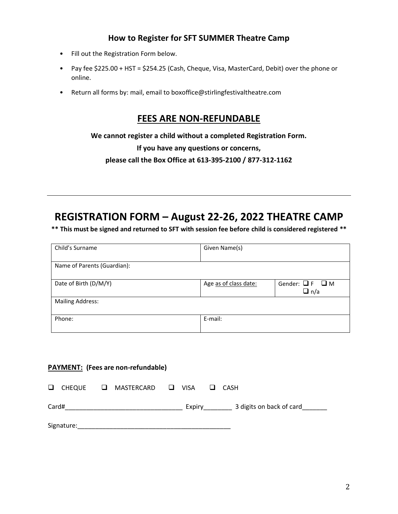## **How to Register for SFT SUMMER Theatre Camp**

- Fill out the Registration Form below.
- Pay fee \$225.00 + HST = \$254.25 (Cash, Cheque, Visa, MasterCard, Debit) over the phone or online.
- Return all forms by: mail, email to boxoffice@stirlingfestivaltheatre.com

## **FEES ARE NON-REFUNDABLE**

**We cannot register a child without a completed Registration Form.**

**If you have any questions or concerns,**

**please call the Box Office at 613-395-2100 / 877-312-1162**

# **REGISTRATION FORM – August 22-26, 2022 THEATRE CAMP**

**\*\* This must be signed and returned to SFT with session fee before child is considered registered \*\***

| Child's Surname             | Given Name(s)         |                                         |
|-----------------------------|-----------------------|-----------------------------------------|
| Name of Parents (Guardian): |                       |                                         |
| Date of Birth (D/M/Y)       | Age as of class date: | Gender: $\Box F$ $\Box M$<br>$\Box$ n/a |
| <b>Mailing Address:</b>     |                       |                                         |
| Phone:                      | E-mail:               |                                         |

## **PAYMENT: (Fees are non-refundable)**

| □<br>CHEQUE | MASTERCARD <b>Q</b> VISA<br>ப | <b>LI</b> | CASH                     |
|-------------|-------------------------------|-----------|--------------------------|
| Card#       |                               | Expiry    | 3 digits on back of card |
| Signature:  |                               |           |                          |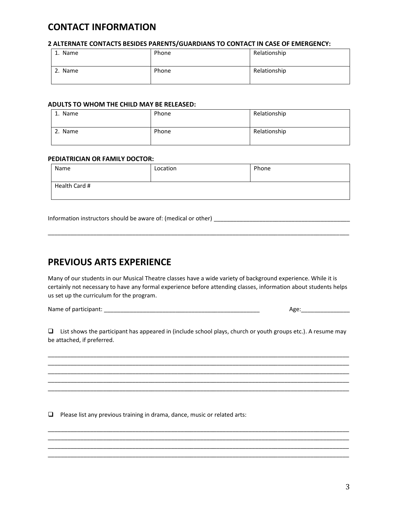## **CONTACT INFORMATION**

#### **2 ALTERNATE CONTACTS BESIDES PARENTS/GUARDIANS TO CONTACT IN CASE OF EMERGENCY:**

| 1. Name | Phone | Relationship |
|---------|-------|--------------|
| 2. Name | Phone | Relationship |

#### **ADULTS TO WHOM THE CHILD MAY BE RELEASED:**

| 1. Name | Phone | Relationship |
|---------|-------|--------------|
| 2. Name | Phone | Relationship |

#### **PEDIATRICIAN OR FAMILY DOCTOR:**

| Name          | Location | Phone |
|---------------|----------|-------|
|               |          |       |
| Health Card # |          |       |
|               |          |       |

Information instructors should be aware of: (medical or other) \_\_\_\_\_\_\_\_\_\_\_\_\_\_\_\_\_\_

# **PREVIOUS ARTS EXPERIENCE**

Many of our students in our Musical Theatre classes have a wide variety of background experience. While it is certainly not necessary to have any formal experience before attending classes, information about students helps us set up the curriculum for the program.

\_\_\_\_\_\_\_\_\_\_\_\_\_\_\_\_\_\_\_\_\_\_\_\_\_\_\_\_\_\_\_\_\_\_\_\_\_\_\_\_\_\_\_\_\_\_\_\_\_\_\_\_\_\_\_\_\_\_\_\_\_\_\_\_\_\_\_\_\_\_\_\_\_\_\_\_\_\_\_\_\_\_\_\_\_\_\_\_\_\_\_\_\_

Name of participant: \_\_\_\_\_\_\_\_\_\_\_\_\_\_\_\_\_\_\_\_\_\_\_\_\_\_\_\_\_\_\_\_\_\_\_\_\_\_\_\_\_\_\_\_\_\_\_\_ Age:\_\_\_\_\_\_\_\_\_\_\_\_\_\_\_

❑ List shows the participant has appeared in (include school plays, church or youth groups etc.). A resume may be attached, if preferred.

\_\_\_\_\_\_\_\_\_\_\_\_\_\_\_\_\_\_\_\_\_\_\_\_\_\_\_\_\_\_\_\_\_\_\_\_\_\_\_\_\_\_\_\_\_\_\_\_\_\_\_\_\_\_\_\_\_\_\_\_\_\_\_\_\_\_\_\_\_\_\_\_\_\_\_\_\_\_\_\_\_\_\_\_\_\_\_\_\_\_\_\_\_

\_\_\_\_\_\_\_\_\_\_\_\_\_\_\_\_\_\_\_\_\_\_\_\_\_\_\_\_\_\_\_\_\_\_\_\_\_\_\_\_\_\_\_\_\_\_\_\_\_\_\_\_\_\_\_\_\_\_\_\_\_\_\_\_\_\_\_\_\_\_\_\_\_\_\_\_\_\_\_\_\_\_\_\_\_\_\_\_\_\_\_\_\_ \_\_\_\_\_\_\_\_\_\_\_\_\_\_\_\_\_\_\_\_\_\_\_\_\_\_\_\_\_\_\_\_\_\_\_\_\_\_\_\_\_\_\_\_\_\_\_\_\_\_\_\_\_\_\_\_\_\_\_\_\_\_\_\_\_\_\_\_\_\_\_\_\_\_\_\_\_\_\_\_\_\_\_\_\_\_\_\_\_\_\_\_\_ \_\_\_\_\_\_\_\_\_\_\_\_\_\_\_\_\_\_\_\_\_\_\_\_\_\_\_\_\_\_\_\_\_\_\_\_\_\_\_\_\_\_\_\_\_\_\_\_\_\_\_\_\_\_\_\_\_\_\_\_\_\_\_\_\_\_\_\_\_\_\_\_\_\_\_\_\_\_\_\_\_\_\_\_\_\_\_\_\_\_\_\_\_

\_\_\_\_\_\_\_\_\_\_\_\_\_\_\_\_\_\_\_\_\_\_\_\_\_\_\_\_\_\_\_\_\_\_\_\_\_\_\_\_\_\_\_\_\_\_\_\_\_\_\_\_\_\_\_\_\_\_\_\_\_\_\_\_\_\_\_\_\_\_\_\_\_\_\_\_\_\_\_\_\_\_\_\_\_\_\_\_\_\_\_\_\_ \_\_\_\_\_\_\_\_\_\_\_\_\_\_\_\_\_\_\_\_\_\_\_\_\_\_\_\_\_\_\_\_\_\_\_\_\_\_\_\_\_\_\_\_\_\_\_\_\_\_\_\_\_\_\_\_\_\_\_\_\_\_\_\_\_\_\_\_\_\_\_\_\_\_\_\_\_\_\_\_\_\_\_\_\_\_\_\_\_\_\_\_\_ \_\_\_\_\_\_\_\_\_\_\_\_\_\_\_\_\_\_\_\_\_\_\_\_\_\_\_\_\_\_\_\_\_\_\_\_\_\_\_\_\_\_\_\_\_\_\_\_\_\_\_\_\_\_\_\_\_\_\_\_\_\_\_\_\_\_\_\_\_\_\_\_\_\_\_\_\_\_\_\_\_\_\_\_\_\_\_\_\_\_\_\_\_ \_\_\_\_\_\_\_\_\_\_\_\_\_\_\_\_\_\_\_\_\_\_\_\_\_\_\_\_\_\_\_\_\_\_\_\_\_\_\_\_\_\_\_\_\_\_\_\_\_\_\_\_\_\_\_\_\_\_\_\_\_\_\_\_\_\_\_\_\_\_\_\_\_\_\_\_\_\_\_\_\_\_\_\_\_\_\_\_\_\_\_\_\_

❑ Please list any previous training in drama, dance, music or related arts: